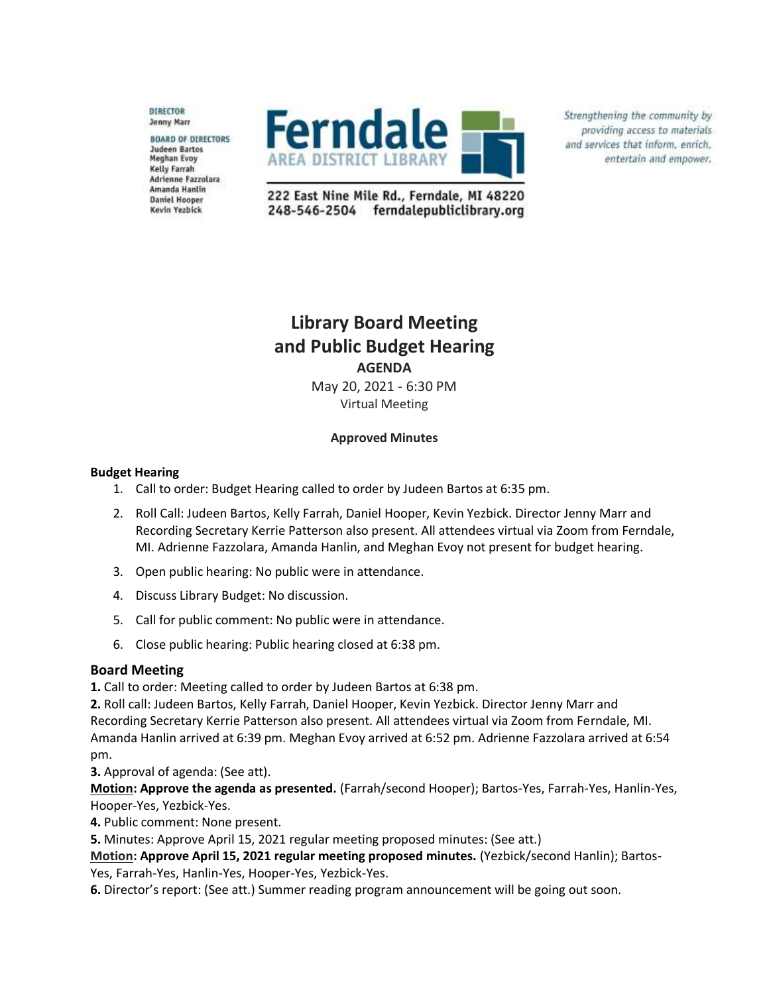**DIRECTOR** Jenny Marr

**BOARD OF DIRECTORS Judeen Bartos Meghan Evoy** Kelly Farrah Adrienne Fazzolara Amanda Hanlin **Daniel Hooper** Kevin Yezbick



Strengthening the community by providing access to materials and services that inform, enrich, entertain and empower.

222 East Nine Mile Rd., Ferndale, MI 48220 248-546-2504 ferndalepubliclibrary.org

# **Library Board Meeting and Public Budget Hearing AGENDA**

May 20, 2021 - 6:30 PM Virtual Meeting

### **Approved Minutes**

### **Budget Hearing**

- 1. Call to order: Budget Hearing called to order by Judeen Bartos at 6:35 pm.
- 2. Roll Call: Judeen Bartos, Kelly Farrah, Daniel Hooper, Kevin Yezbick. Director Jenny Marr and Recording Secretary Kerrie Patterson also present. All attendees virtual via Zoom from Ferndale, MI. Adrienne Fazzolara, Amanda Hanlin, and Meghan Evoy not present for budget hearing.
- 3. Open public hearing: No public were in attendance.
- 4. Discuss Library Budget: No discussion.
- 5. Call for public comment: No public were in attendance.
- 6. Close public hearing: Public hearing closed at 6:38 pm.

## **Board Meeting**

**1.** Call to order: Meeting called to order by Judeen Bartos at 6:38 pm.

**2.** Roll call: Judeen Bartos, Kelly Farrah, Daniel Hooper, Kevin Yezbick. Director Jenny Marr and Recording Secretary Kerrie Patterson also present. All attendees virtual via Zoom from Ferndale, MI. Amanda Hanlin arrived at 6:39 pm. Meghan Evoy arrived at 6:52 pm. Adrienne Fazzolara arrived at 6:54 pm.

**3.** Approval of agenda: (See att).

**Motion: Approve the agenda as presented.** (Farrah/second Hooper); Bartos-Yes, Farrah-Yes, Hanlin-Yes, Hooper-Yes, Yezbick-Yes.

**4.** Public comment: None present.

**5.** Minutes: Approve April 15, 2021 regular meeting proposed minutes: (See att.)

**Motion: Approve April 15, 2021 regular meeting proposed minutes.** (Yezbick/second Hanlin); Bartos-Yes, Farrah-Yes, Hanlin-Yes, Hooper-Yes, Yezbick-Yes.

**6.** Director's report: (See att.) Summer reading program announcement will be going out soon.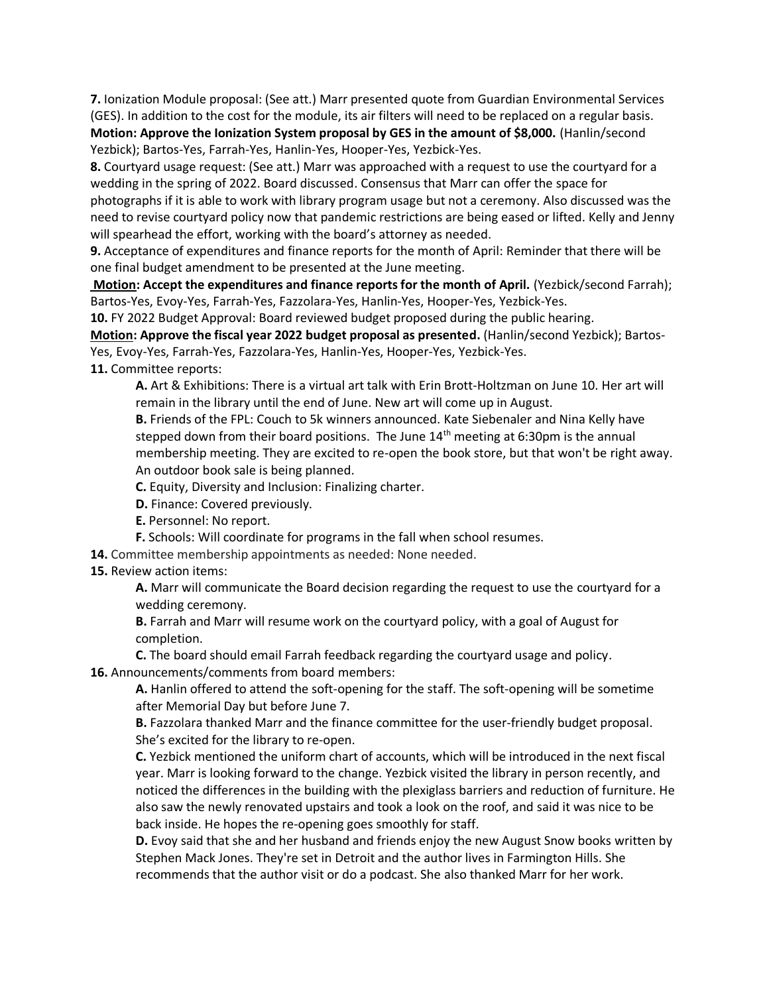**7.** Ionization Module proposal: (See att.) Marr presented quote from Guardian Environmental Services (GES). In addition to the cost for the module, its air filters will need to be replaced on a regular basis. **Motion: Approve the Ionization System proposal by GES in the amount of \$8,000.** (Hanlin/second

Yezbick); Bartos-Yes, Farrah-Yes, Hanlin-Yes, Hooper-Yes, Yezbick-Yes.

**8.** Courtyard usage request: (See att.) Marr was approached with a request to use the courtyard for a wedding in the spring of 2022. Board discussed. Consensus that Marr can offer the space for photographs if it is able to work with library program usage but not a ceremony. Also discussed was the

need to revise courtyard policy now that pandemic restrictions are being eased or lifted. Kelly and Jenny will spearhead the effort, working with the board's attorney as needed.

**9.** Acceptance of expenditures and finance reports for the month of April: Reminder that there will be one final budget amendment to be presented at the June meeting.

**Motion: Accept the expenditures and finance reports for the month of April.** (Yezbick/second Farrah); Bartos-Yes, Evoy-Yes, Farrah-Yes, Fazzolara-Yes, Hanlin-Yes, Hooper-Yes, Yezbick-Yes.

**10.** FY 2022 Budget Approval: Board reviewed budget proposed during the public hearing.

**Motion: Approve the fiscal year 2022 budget proposal as presented.** (Hanlin/second Yezbick); Bartos-Yes, Evoy-Yes, Farrah-Yes, Fazzolara-Yes, Hanlin-Yes, Hooper-Yes, Yezbick-Yes.

**11.** Committee reports:

**A.** Art & Exhibitions: There is a virtual art talk with Erin Brott-Holtzman on June 10. Her art will remain in the library until the end of June. New art will come up in August.

**B.** Friends of the FPL: Couch to 5k winners announced. Kate Siebenaler and Nina Kelly have stepped down from their board positions. The June  $14<sup>th</sup>$  meeting at 6:30pm is the annual membership meeting. They are excited to re-open the book store, but that won't be right away. An outdoor book sale is being planned.

**C.** Equity, Diversity and Inclusion: Finalizing charter.

**D.** Finance: Covered previously.

**E.** Personnel: No report.

**F.** Schools: Will coordinate for programs in the fall when school resumes.

**14.** Committee membership appointments as needed: None needed.

**15.** Review action items:

**A.** Marr will communicate the Board decision regarding the request to use the courtyard for a wedding ceremony.

**B.** Farrah and Marr will resume work on the courtyard policy, with a goal of August for completion.

**C.** The board should email Farrah feedback regarding the courtyard usage and policy. **16.** Announcements/comments from board members:

**A.** Hanlin offered to attend the soft-opening for the staff. The soft-opening will be sometime after Memorial Day but before June 7.

**B.** Fazzolara thanked Marr and the finance committee for the user-friendly budget proposal. She's excited for the library to re-open.

**C.** Yezbick mentioned the uniform chart of accounts, which will be introduced in the next fiscal year. Marr is looking forward to the change. Yezbick visited the library in person recently, and noticed the differences in the building with the plexiglass barriers and reduction of furniture. He also saw the newly renovated upstairs and took a look on the roof, and said it was nice to be back inside. He hopes the re-opening goes smoothly for staff.

**D.** Evoy said that she and her husband and friends enjoy the new August Snow books written by Stephen Mack Jones. They're set in Detroit and the author lives in Farmington Hills. She recommends that the author visit or do a podcast. She also thanked Marr for her work.